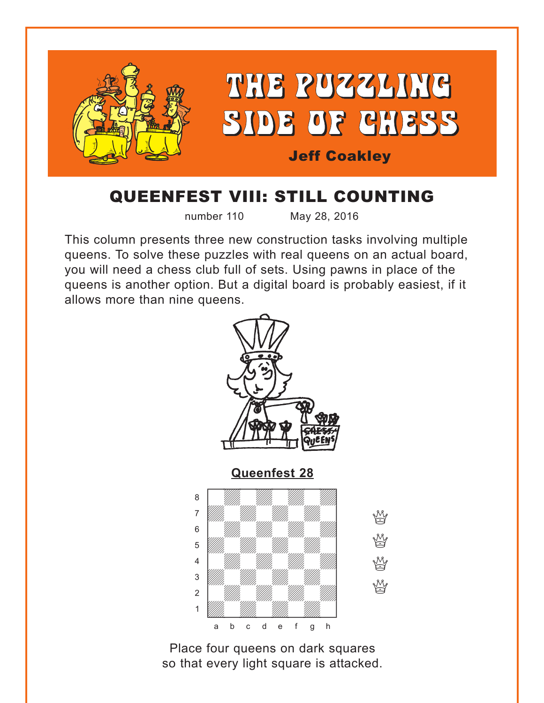<span id="page-0-0"></span>

## QUEENFEST VIII: STILL COUNTING

number 110 May 28, 2016

This column presents three new construction tasks involving multiple queens. To solve these puzzles with real queens on an actual board, you will need a chess club full of sets. Using pawns in place of the queens is another option. But a digital board is probably easiest, if it allows more than nine queens.



W

W

Y

**Yy** 

Place four queens on dark squares so that every light square is attacked.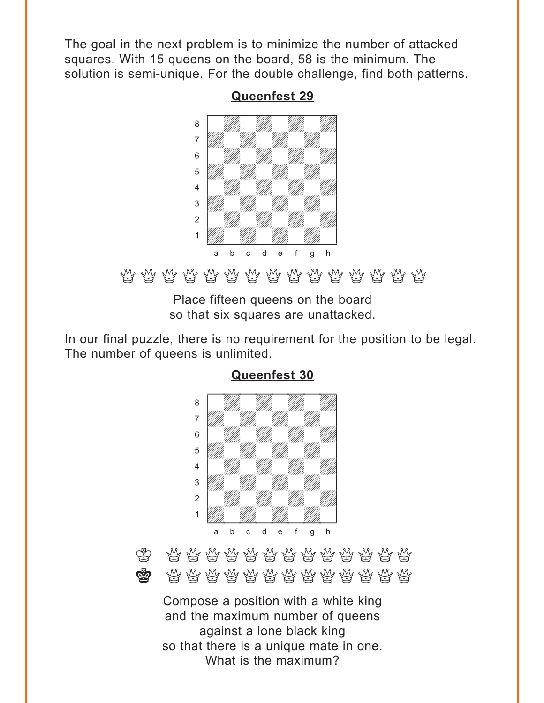<span id="page-1-0"></span>The goal in the next problem is to minimize the number of attacked squares. With 15 queens on the board, 58 is the minimum. The solution is semi-unique. For the double challenge, find both patterns.



**[Queenfest 29](#page-3-0)**

QQQQQQQQQQQQQQQ

Place fifteen queens on the board so that six squares are unattacked.

In our final puzzle, there is no requirement for the position to be legal. The number of queens is unlimited.



**[Queenfest 30](#page-5-0)**

 $\bigotimes$   $\mathbb{C}$   $\mathbb{C}$   $\mathbb{C}$   $\mathbb{C}$   $\mathbb{C}$   $\mathbb{C}$   $\mathbb{C}$   $\mathbb{C}$   $\mathbb{C}$   $\mathbb{C}$   $\mathbb{C}$   $\mathbb{C}$   $\mathbb{C}$   $\mathbb{C}$   $\mathbb{C}$   $\mathbb{C}$   $\mathbb{C}$   $\mathbb{C}$   $\mathbb{C}$   $\mathbb{C}$   $\mathbb{C}$   $\mathbb{C}$   $\mathbb{C}$   $\mathbb{C}$  $\bigotimes$  a  $\mathbb{Q}$  and  $\mathbb{Q}$  and  $\mathbb{Q}$  and  $\mathbb{Q}$  and  $\mathbb{Q}$  and  $\mathbb{Q}$  and  $\mathbb{Q}$  and  $\mathbb{Q}$ 

Compose a position with a white king and the maximum number of queens against a lone black king so that there is a unique mate in one. What is the maximum?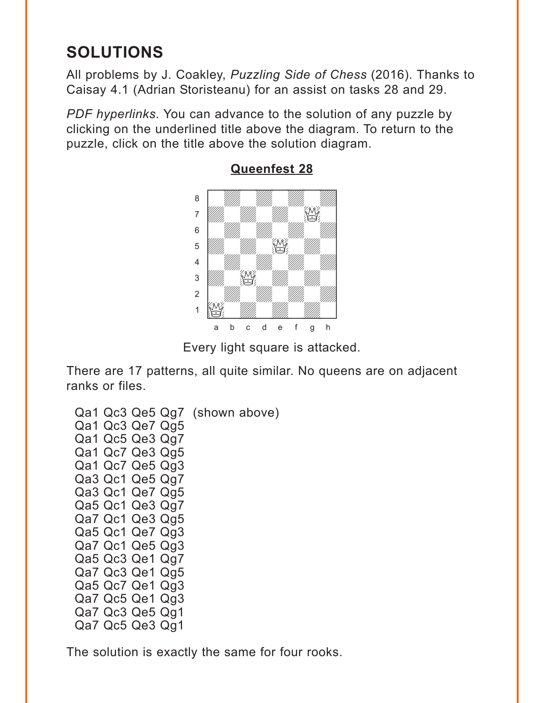# <span id="page-2-0"></span>**SOLUTIONS**

All problems by J. Coakley, *Puzzling Side of Chess* (2016). Thanks to Caisay 4.1 (Adrian Storisteanu) for an assist on tasks 28 and 29.

*PDF hyperlinks*. You can advance to the solution of any puzzle by clicking on the underlined title above the diagram. To return to the puzzle, click on the title above the solution diagram.



**[Queenfest 28](#page-0-0)**

Every light square is attacked.

There are 17 patterns, all quite similar. No queens are on adjacent ranks or files.

Qa1 Qc3 Qe5 Qg7 (shown above) Qa1 Qc3 Qe7 Qg5 Qa1 Qc5 Qe3 Qg7 Qa1 Qc7 Qe3 Qg5 Qa1 Qc7 Qe5 Qg3 Qa3 Qc1 Qe5 Qg7 Qa3 Qc1 Qe7 Qg5 Qa5 Qc1 Qe3 Qg7 Qa7 Qc1 Qe3 Qg5 Qa5 Qc1 Qe7 Qg3 Qa7 Qc1 Qe5 Qg3 Qa5 Qc3 Qe1 Qg7 Qa7 Qc3 Qe1 Qg5 Qa5 Qc7 Qe1 Qg3 Qa7 Qc5 Qe1 Qg3 Qa7 Qc3 Qe5 Qg1 Qa7 Qc5 Qe3 Qg1

The solution is exactly the same for four rooks.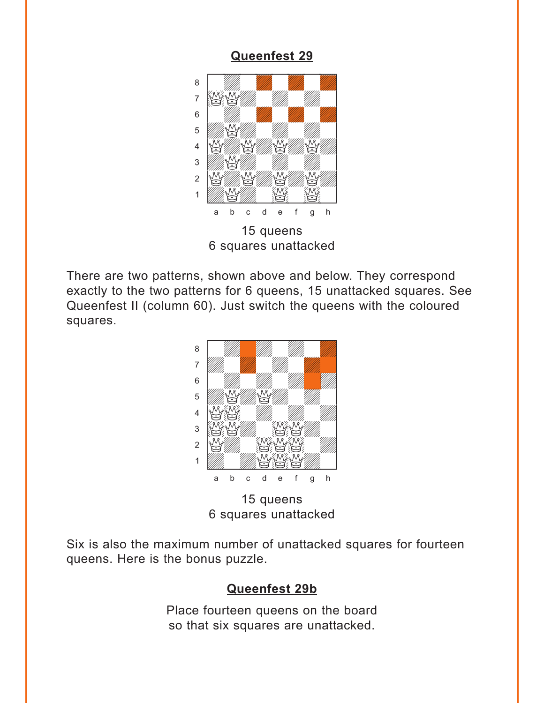## **[Queenfest 29](#page-1-0)**

<span id="page-3-0"></span>

There are two patterns, shown above and below. They correspond exactly to the two patterns for 6 queens, 15 unattacked squares. See Queenfest II (column 60). Just switch the queens with the coloured squares.



15 queens 6 squares unattacked

Six is also the maximum number of unattacked squares for fourteen queens. Here is the bonus puzzle.

#### **[Queenfest 29b](#page-4-0)**

Place fourteen queens on the board so that six squares are unattacked.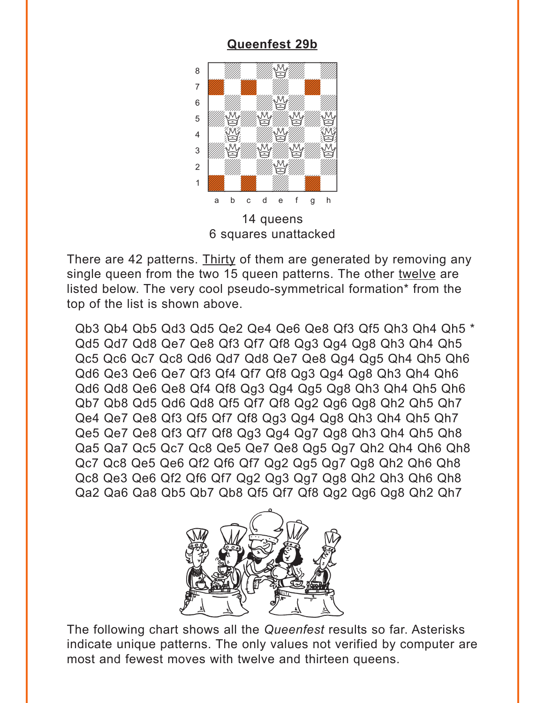### **[Queenfest 29b](#page-3-0)**

<span id="page-4-0"></span>

There are 42 patterns. Thirty of them are generated by removing any single queen from the two 15 queen patterns. The other twelve are listed below. The very cool pseudo-symmetrical formation\* from the top of the list is shown above.

Qb3 Qb4 Qb5 Qd3 Qd5 Qe2 Qe4 Qe6 Qe8 Qf3 Qf5 Qh3 Qh4 Qh5 \* Qd5 Qd7 Qd8 Qe7 Qe8 Qf3 Qf7 Qf8 Qg3 Qg4 Qg8 Qh3 Qh4 Qh5 Qc5 Qc6 Qc7 Qc8 Qd6 Qd7 Qd8 Qe7 Qe8 Qg4 Qg5 Qh4 Qh5 Qh6 Qd6 Qe3 Qe6 Qe7 Qf3 Qf4 Qf7 Qf8 Qg3 Qg4 Qg8 Qh3 Qh4 Qh6 Qd6 Qd8 Qe6 Qe8 Qf4 Qf8 Qg3 Qg4 Qg5 Qg8 Qh3 Qh4 Qh5 Qh6 Qb7 Qb8 Qd5 Qd6 Qd8 Qf5 Qf7 Qf8 Qg2 Qg6 Qg8 Qh2 Qh5 Qh7 Qe4 Qe7 Qe8 Qf3 Qf5 Qf7 Qf8 Qg3 Qg4 Qg8 Qh3 Qh4 Qh5 Qh7 Qe5 Qe7 Qe8 Qf3 Qf7 Qf8 Qg3 Qg4 Qg7 Qg8 Qh3 Qh4 Qh5 Qh8 Qa5 Qa7 Qc5 Qc7 Qc8 Qe5 Qe7 Qe8 Qg5 Qg7 Qh2 Qh4 Qh6 Qh8 Qc7 Qc8 Qe5 Qe6 Qf2 Qf6 Qf7 Qg2 Qg5 Qg7 Qg8 Qh2 Qh6 Qh8 Qc8 Qe3 Qe6 Qf2 Qf6 Qf7 Qg2 Qg3 Qg7 Qg8 Qh2 Qh3 Qh6 Qh8 Qa2 Qa6 Qa8 Qb5 Qb7 Qb8 Qf5 Qf7 Qf8 Qg2 Qg6 Qg8 Qh2 Qh7



The following chart shows all the *Queenfest* results so far. Asterisks indicate unique patterns. The only values not verified by computer are most and fewest moves with twelve and thirteen queens.